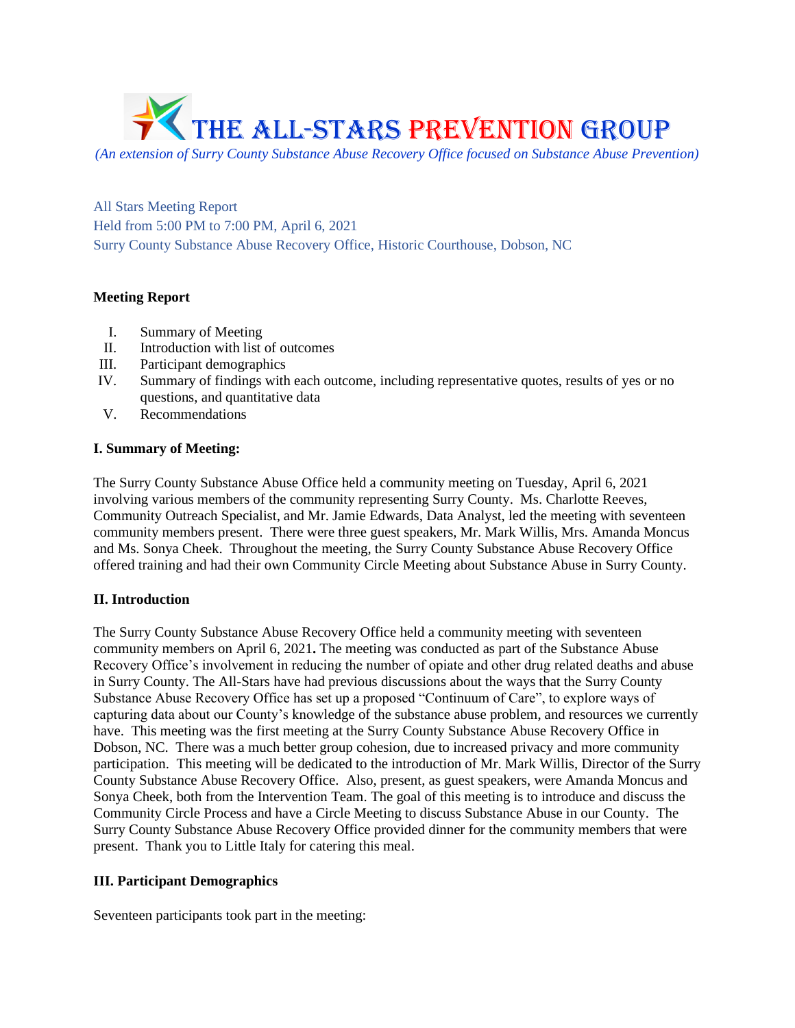

*(An extension of Surry County Substance Abuse Recovery Office focused on Substance Abuse Prevention)*

All Stars Meeting Report Held from 5:00 PM to 7:00 PM, April 6, 2021 Surry County Substance Abuse Recovery Office, Historic Courthouse, Dobson, NC

# **Meeting Report**

- I. Summary of Meeting
- II. Introduction with list of outcomes
- III. Participant demographics
- IV. Summary of findings with each outcome, including representative quotes, results of yes or no questions, and quantitative data
- V. Recommendations

### **I. Summary of Meeting:**

The Surry County Substance Abuse Office held a community meeting on Tuesday, April 6, 2021 involving various members of the community representing Surry County. Ms. Charlotte Reeves, Community Outreach Specialist, and Mr. Jamie Edwards, Data Analyst, led the meeting with seventeen community members present. There were three guest speakers, Mr. Mark Willis, Mrs. Amanda Moncus and Ms. Sonya Cheek. Throughout the meeting, the Surry County Substance Abuse Recovery Office offered training and had their own Community Circle Meeting about Substance Abuse in Surry County.

# **II. Introduction**

The Surry County Substance Abuse Recovery Office held a community meeting with seventeen community members on April 6, 2021**.** The meeting was conducted as part of the Substance Abuse Recovery Office's involvement in reducing the number of opiate and other drug related deaths and abuse in Surry County. The All-Stars have had previous discussions about the ways that the Surry County Substance Abuse Recovery Office has set up a proposed "Continuum of Care", to explore ways of capturing data about our County's knowledge of the substance abuse problem, and resources we currently have. This meeting was the first meeting at the Surry County Substance Abuse Recovery Office in Dobson, NC. There was a much better group cohesion, due to increased privacy and more community participation. This meeting will be dedicated to the introduction of Mr. Mark Willis, Director of the Surry County Substance Abuse Recovery Office. Also, present, as guest speakers, were Amanda Moncus and Sonya Cheek, both from the Intervention Team. The goal of this meeting is to introduce and discuss the Community Circle Process and have a Circle Meeting to discuss Substance Abuse in our County. The Surry County Substance Abuse Recovery Office provided dinner for the community members that were present. Thank you to Little Italy for catering this meal.

# **III. Participant Demographics**

Seventeen participants took part in the meeting: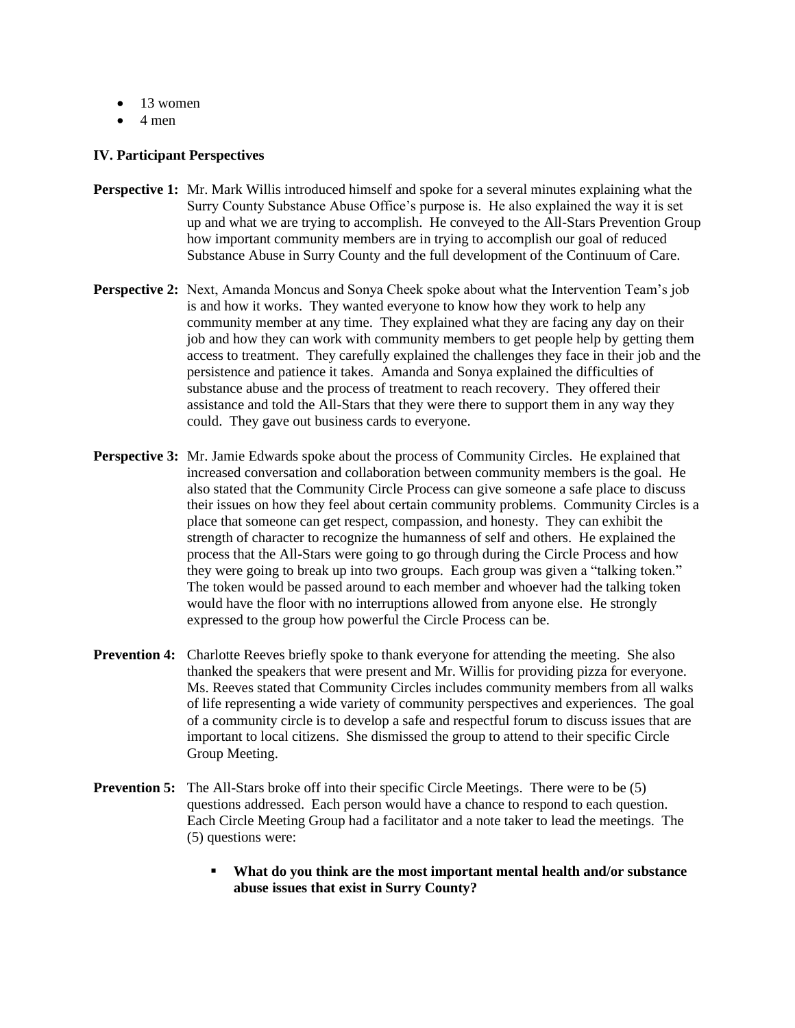- $\bullet$  13 women
- $\bullet$  4 men

### **IV. Participant Perspectives**

- **Perspective 1:** Mr. Mark Willis introduced himself and spoke for a several minutes explaining what the Surry County Substance Abuse Office's purpose is. He also explained the way it is set up and what we are trying to accomplish. He conveyed to the All-Stars Prevention Group how important community members are in trying to accomplish our goal of reduced Substance Abuse in Surry County and the full development of the Continuum of Care.
- **Perspective 2:** Next, Amanda Moncus and Sonya Cheek spoke about what the Intervention Team's job is and how it works. They wanted everyone to know how they work to help any community member at any time. They explained what they are facing any day on their job and how they can work with community members to get people help by getting them access to treatment. They carefully explained the challenges they face in their job and the persistence and patience it takes. Amanda and Sonya explained the difficulties of substance abuse and the process of treatment to reach recovery. They offered their assistance and told the All-Stars that they were there to support them in any way they could. They gave out business cards to everyone.
- **Perspective 3:** Mr. Jamie Edwards spoke about the process of Community Circles. He explained that increased conversation and collaboration between community members is the goal. He also stated that the Community Circle Process can give someone a safe place to discuss their issues on how they feel about certain community problems. Community Circles is a place that someone can get respect, compassion, and honesty. They can exhibit the strength of character to recognize the humanness of self and others. He explained the process that the All-Stars were going to go through during the Circle Process and how they were going to break up into two groups. Each group was given a "talking token." The token would be passed around to each member and whoever had the talking token would have the floor with no interruptions allowed from anyone else. He strongly expressed to the group how powerful the Circle Process can be.
- **Prevention 4:** Charlotte Reeves briefly spoke to thank everyone for attending the meeting. She also thanked the speakers that were present and Mr. Willis for providing pizza for everyone. Ms. Reeves stated that Community Circles includes community members from all walks of life representing a wide variety of community perspectives and experiences. The goal of a community circle is to develop a safe and respectful forum to discuss issues that are important to local citizens. She dismissed the group to attend to their specific Circle Group Meeting.
- **Prevention 5:** The All-Stars broke off into their specific Circle Meetings. There were to be (5) questions addressed. Each person would have a chance to respond to each question. Each Circle Meeting Group had a facilitator and a note taker to lead the meetings. The (5) questions were:
	- **What do you think are the most important mental health and/or substance abuse issues that exist in Surry County?**